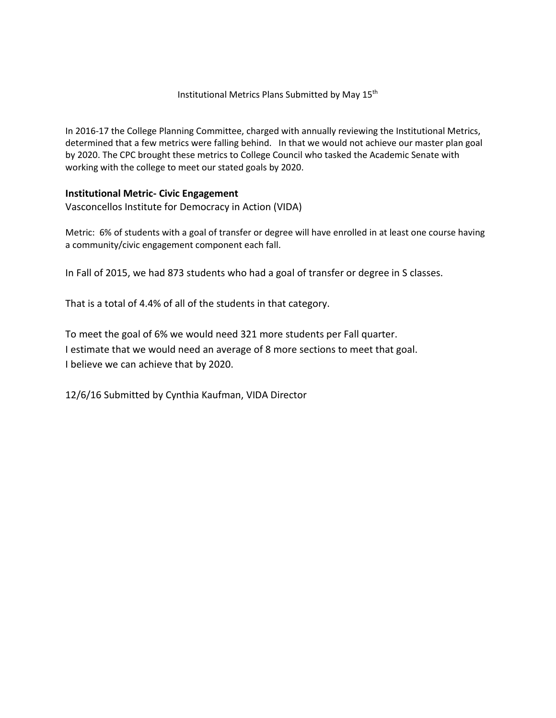## Institutional Metrics Plans Submitted by May 15th

In 2016-17 the College Planning Committee, charged with annually reviewing the Institutional Metrics, determined that a few metrics were falling behind. In that we would not achieve our master plan goal by 2020. The CPC brought these metrics to College Council who tasked the Academic Senate with working with the college to meet our stated goals by 2020.

## **Institutional Metric- Civic Engagement**

Vasconcellos Institute for Democracy in Action (VIDA)

Metric: 6% of students with a goal of transfer or degree will have enrolled in at least one course having a community/civic engagement component each fall.

In Fall of 2015, we had 873 students who had a goal of transfer or degree in S classes.

That is a total of 4.4% of all of the students in that category.

To meet the goal of 6% we would need 321 more students per Fall quarter. I estimate that we would need an average of 8 more sections to meet that goal. I believe we can achieve that by 2020.

12/6/16 Submitted by Cynthia Kaufman, VIDA Director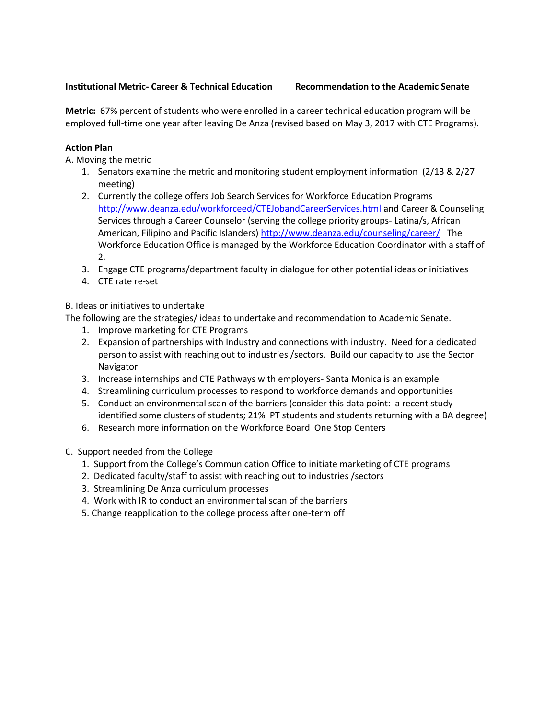## **Institutional Metric- Career & Technical Education Recommendation to the Academic Senate**

**Metric:** 67% percent of students who were enrolled in a career technical education program will be employed full-time one year after leaving De Anza (revised based on May 3, 2017 with CTE Programs).

# **Action Plan**

A. Moving the metric

- 1. Senators examine the metric and monitoring student employment information (2/13 & 2/27 meeting)
- 2. Currently the college offers Job Search Services for Workforce Education Programs <http://www.deanza.edu/workforceed/CTEJobandCareerServices.html> and Career & Counseling Services through a Career Counselor (serving the college priority groups- Latina/s, African American, Filipino and Pacific Islanders)<http://www.deanza.edu/counseling/career/>The Workforce Education Office is managed by the Workforce Education Coordinator with a staff of 2.
- 3. Engage CTE programs/department faculty in dialogue for other potential ideas or initiatives
- 4. CTE rate re-set

B. Ideas or initiatives to undertake

The following are the strategies/ ideas to undertake and recommendation to Academic Senate.

- 1. Improve marketing for CTE Programs
- 2. Expansion of partnerships with Industry and connections with industry. Need for a dedicated person to assist with reaching out to industries /sectors. Build our capacity to use the Sector Navigator
- 3. Increase internships and CTE Pathways with employers- Santa Monica is an example
- 4. Streamlining curriculum processes to respond to workforce demands and opportunities
- 5. Conduct an environmental scan of the barriers (consider this data point: a recent study identified some clusters of students; 21% PT students and students returning with a BA degree)
- 6. Research more information on the Workforce Board One Stop Centers
- C. Support needed from the College
	- 1. Support from the College's Communication Office to initiate marketing of CTE programs
	- 2. Dedicated faculty/staff to assist with reaching out to industries /sectors
	- 3. Streamlining De Anza curriculum processes
	- 4. Work with IR to conduct an environmental scan of the barriers
	- 5. Change reapplication to the college process after one-term off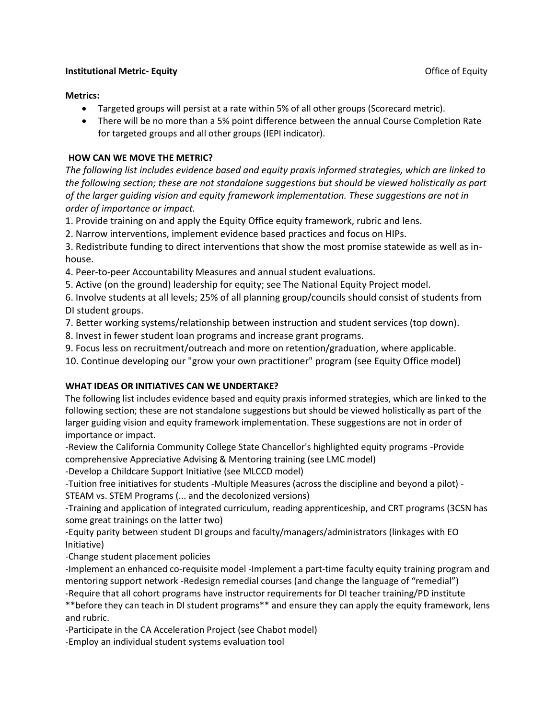### **Institutional Metric- Equity Constitutional Metric- Equity Constitutional Metric- Equity**

#### **Metrics:**

- Targeted groups will persist at a rate within 5% of all other groups (Scorecard metric).
- There will be no more than a 5% point difference between the annual Course Completion Rate for targeted groups and all other groups (IEPI indicator).

## **HOW CAN WE MOVE THE METRIC?**

*The following list includes evidence based and equity praxis informed strategies, which are linked to the following section; these are not standalone suggestions but should be viewed holistically as part of the larger guiding vision and equity framework implementation. These suggestions are not in order of importance or impact.* 

1. Provide training on and apply the Equity Office equity framework, rubric and lens.

2. Narrow interventions, implement evidence based practices and focus on HIPs.

3. Redistribute funding to direct interventions that show the most promise statewide as well as inhouse.

4. Peer-to-peer Accountability Measures and annual student evaluations.

5. Active (on the ground) leadership for equity; see The National Equity Project model.

6. Involve students at all levels; 25% of all planning group/councils should consist of students from DI student groups.

7. Better working systems/relationship between instruction and student services (top down).

8. Invest in fewer student loan programs and increase grant programs.

9. Focus less on recruitment/outreach and more on retention/graduation, where applicable.

10. Continue developing our "grow your own practitioner" program (see Equity Office model)

## **WHAT IDEAS OR INITIATIVES CAN WE UNDERTAKE?**

The following list includes evidence based and equity praxis informed strategies, which are linked to the following section; these are not standalone suggestions but should be viewed holistically as part of the larger guiding vision and equity framework implementation. These suggestions are not in order of importance or impact.

-Review the California Community College State Chancellor's highlighted equity programs -Provide comprehensive Appreciative Advising & Mentoring training (see LMC model)

-Develop a Childcare Support Initiative (see MLCCD model)

-Tuition free initiatives for students -Multiple Measures (across the discipline and beyond a pilot) - STEAM vs. STEM Programs (... and the decolonized versions)

-Training and application of integrated curriculum, reading apprenticeship, and CRT programs (3CSN has some great trainings on the latter two)

-Equity parity between student DI groups and faculty/managers/administrators (linkages with EO Initiative)

-Change student placement policies

-Implement an enhanced co-requisite model -Implement a part-time faculty equity training program and mentoring support network -Redesign remedial courses (and change the language of "remedial")

-Require that all cohort programs have instructor requirements for DI teacher training/PD institute \*\*before they can teach in DI student programs\*\* and ensure they can apply the equity framework, lens and rubric.

-Participate in the CA Acceleration Project (see Chabot model)

-Employ an individual student systems evaluation tool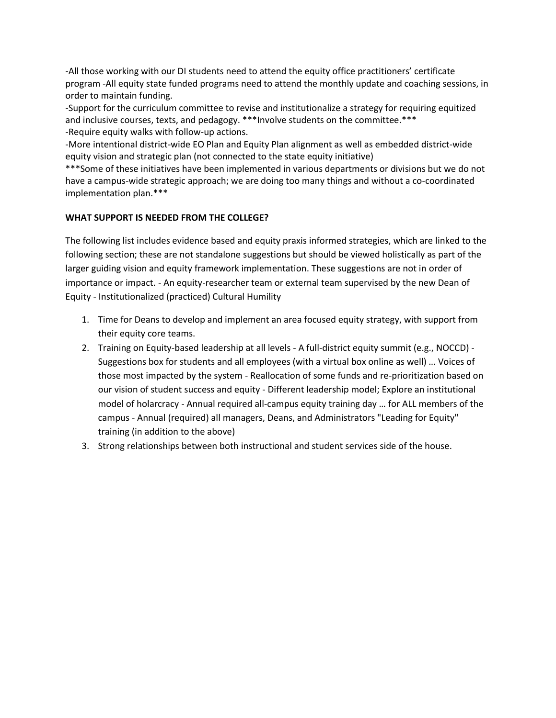-All those working with our DI students need to attend the equity office practitioners' certificate program -All equity state funded programs need to attend the monthly update and coaching sessions, in order to maintain funding.

-Support for the curriculum committee to revise and institutionalize a strategy for requiring equitized and inclusive courses, texts, and pedagogy. \*\*\*Involve students on the committee.\*\*\* -Require equity walks with follow-up actions.

-More intentional district-wide EO Plan and Equity Plan alignment as well as embedded district-wide equity vision and strategic plan (not connected to the state equity initiative)

\*\*\*Some of these initiatives have been implemented in various departments or divisions but we do not have a campus-wide strategic approach; we are doing too many things and without a co-coordinated implementation plan.\*\*\*

## **WHAT SUPPORT IS NEEDED FROM THE COLLEGE?**

The following list includes evidence based and equity praxis informed strategies, which are linked to the following section; these are not standalone suggestions but should be viewed holistically as part of the larger guiding vision and equity framework implementation. These suggestions are not in order of importance or impact. - An equity-researcher team or external team supervised by the new Dean of Equity - Institutionalized (practiced) Cultural Humility

- 1. Time for Deans to develop and implement an area focused equity strategy, with support from their equity core teams.
- 2. Training on Equity-based leadership at all levels A full-district equity summit (e.g., NOCCD) Suggestions box for students and all employees (with a virtual box online as well) … Voices of those most impacted by the system - Reallocation of some funds and re-prioritization based on our vision of student success and equity - Different leadership model; Explore an institutional model of holarcracy - Annual required all-campus equity training day … for ALL members of the campus - Annual (required) all managers, Deans, and Administrators "Leading for Equity" training (in addition to the above)
- 3. Strong relationships between both instructional and student services side of the house.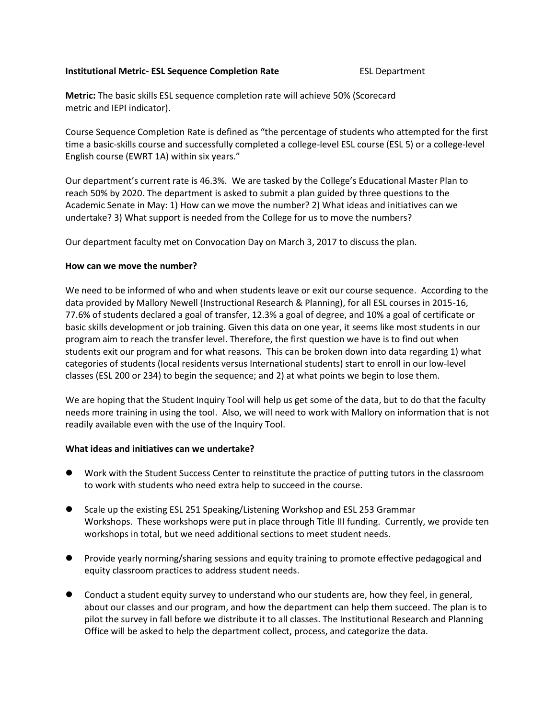#### **Institutional Metric- ESL Sequence Completion Rate** ESL Department

**Metric:** The basic skills ESL sequence completion rate will achieve 50% (Scorecard metric and IEPI indicator).

Course Sequence Completion Rate is defined as "the percentage of students who attempted for the first time a basic-skills course and successfully completed a college-level ESL course (ESL 5) or a college-level English course (EWRT 1A) within six years."

Our department's current rate is 46.3%. We are tasked by the College's Educational Master Plan to reach 50% by 2020. The department is asked to submit a plan guided by three questions to the Academic Senate in May: 1) How can we move the number? 2) What ideas and initiatives can we undertake? 3) What support is needed from the College for us to move the numbers?

Our department faculty met on Convocation Day on March 3, 2017 to discuss the plan.

## **How can we move the number?**

We need to be informed of who and when students leave or exit our course sequence. According to the data provided by Mallory Newell (Instructional Research & Planning), for all ESL courses in 2015-16, 77.6% of students declared a goal of transfer, 12.3% a goal of degree, and 10% a goal of certificate or basic skills development or job training. Given this data on one year, it seems like most students in our program aim to reach the transfer level. Therefore, the first question we have is to find out when students exit our program and for what reasons. This can be broken down into data regarding 1) what categories of students (local residents versus International students) start to enroll in our low-level classes (ESL 200 or 234) to begin the sequence; and 2) at what points we begin to lose them.

We are hoping that the Student Inquiry Tool will help us get some of the data, but to do that the faculty needs more training in using the tool. Also, we will need to work with Mallory on information that is not readily available even with the use of the Inquiry Tool.

## **What ideas and initiatives can we undertake?**

- Work with the Student Success Center to reinstitute the practice of putting tutors in the classroom to work with students who need extra help to succeed in the course.
- Scale up the existing ESL 251 Speaking/Listening Workshop and ESL 253 Grammar Workshops. These workshops were put in place through Title III funding. Currently, we provide ten workshops in total, but we need additional sections to meet student needs.
- Provide yearly norming/sharing sessions and equity training to promote effective pedagogical and equity classroom practices to address student needs.
- Conduct a student equity survey to understand who our students are, how they feel, in general, about our classes and our program, and how the department can help them succeed. The plan is to pilot the survey in fall before we distribute it to all classes. The Institutional Research and Planning Office will be asked to help the department collect, process, and categorize the data.